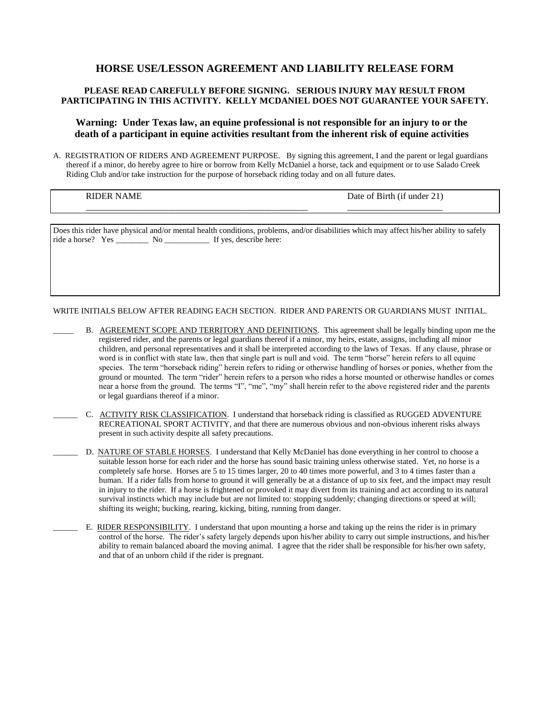# **HORSE USE/LESSON AGREEMENT AND LIABILITY RELEASE FORM**

## **PLEASE READ CAREFULLY BEFORE SIGNING. SERIOUS INJURY MAY RESULT FROM PARTICIPATING IN THIS ACTIVITY. KELLY MCDANIEL DOES NOT GUARANTEE YOUR SAFETY.**

### **Warning: Under Texas law, an equine professional is not responsible for an injury to or the death of a participant in equine activities resultant from the inherent risk of equine activities**

A. REGISTRATION OF RIDERS AND AGREEMENT PURPOSE. By signing this agreement, I and the parent or legal guardians thereof if a minor, do hereby agree to hire or borrow from Kelly McDaniel a horse, tack and equipment or to use Salado Creek Riding Club and/or take instruction for the purpose of horseback riding today and on all future dates.

RIDER NAME Date of Birth (if under 21)

Does this rider have physical and/or mental health conditions, problems, and/or disabilities which may affect his/her ability to safely ride a horse? Yes \_\_\_\_\_\_\_\_ No \_\_\_\_\_\_\_\_\_\_\_ If yes, describe here:

\_\_\_\_\_\_\_\_\_\_\_\_\_\_\_\_\_\_\_\_\_\_\_\_\_\_\_\_\_\_\_\_\_\_\_\_\_\_\_\_\_\_\_\_\_\_\_\_\_ \_\_\_\_\_\_\_\_\_\_\_\_\_\_\_\_\_\_\_\_\_

WRITE INITIALS BELOW AFTER READING EACH SECTION. RIDER AND PARENTS OR GUARDIANS MUST INITIAL.

- B. AGREEMENT SCOPE AND TERRITORY AND DEFINITIONS. This agreement shall be legally binding upon me the registered rider, and the parents or legal guardians thereof if a minor, my heirs, estate, assigns, including all minor children, and personal representatives and it shall be interpreted according to the laws of Texas. If any clause, phrase or word is in conflict with state law, then that single part is null and void. The term "horse" herein refers to all equine species. The term "horseback riding" herein refers to riding or otherwise handling of horses or ponies, whether from the ground or mounted. The term "rider" herein refers to a person who rides a horse mounted or otherwise handles or comes near a horse from the ground. The terms "I", "me", "my" shall herein refer to the above registered rider and the parents or legal guardians thereof if a minor.
- \_\_\_\_\_\_ C. ACTIVITY RISK CLASSIFICATION. I understand that horseback riding is classified as RUGGED ADVENTURE RECREATIONAL SPORT ACTIVITY, and that there are numerous obvious and non-obvious inherent risks always present in such activity despite all safety precautions.
- \_\_\_\_\_\_ D. NATURE OF STABLE HORSES. I understand that Kelly McDaniel has done everything in her control to choose a suitable lesson horse for each rider and the horse has sound basic training unless otherwise stated. Yet, no horse is a completely safe horse. Horses are 5 to 15 times larger, 20 to 40 times more powerful, and 3 to 4 times faster than a human. If a rider falls from horse to ground it will generally be at a distance of up to six feet, and the impact may result in injury to the rider. If a horse is frightened or provoked it may divert from its training and act according to its natural survival instincts which may include but are not limited to: stopping suddenly; changing directions or speed at will; shifting its weight; bucking, rearing, kicking, biting, running from danger.
- \_\_\_\_\_\_ E. RIDER RESPONSIBILITY. I understand that upon mounting a horse and taking up the reins the rider is in primary control of the horse. The rider's safety largely depends upon his/her ability to carry out simple instructions, and his/her ability to remain balanced aboard the moving animal. I agree that the rider shall be responsible for his/her own safety, and that of an unborn child if the rider is pregnant.